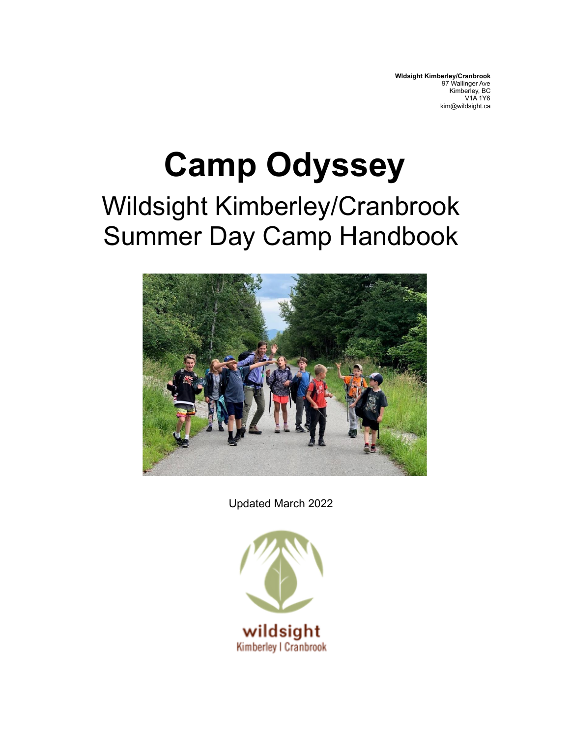**Wldsight Kimberley/Cranbrook** 97 Wallinger Ave Kimberley, BC V1A 1Y6 kim@wildsight.ca

# **Camp Odyssey** Wildsight Kimberley/Cranbrook Summer Day Camp Handbook



Updated March 2022

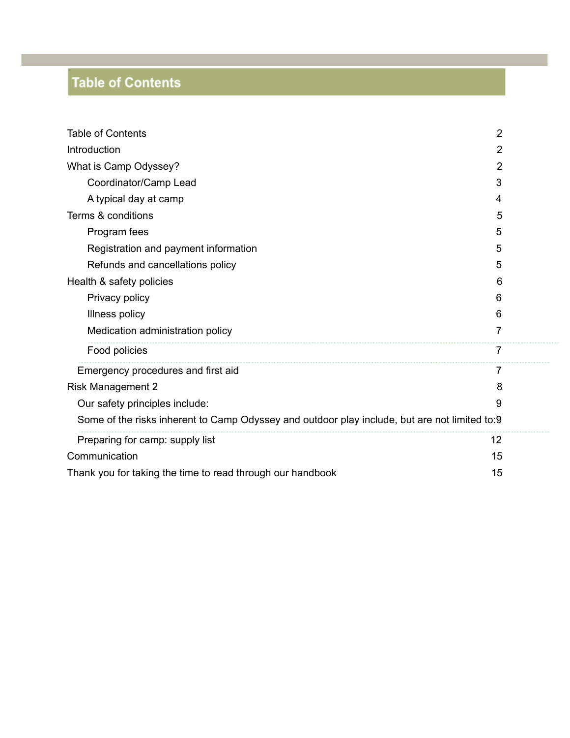# **Table of Contents**

| <b>Table of Contents</b><br>$\overline{2}$                                                    |   |
|-----------------------------------------------------------------------------------------------|---|
| Introduction                                                                                  | 2 |
| What is Camp Odyssey?                                                                         | 2 |
| Coordinator/Camp Lead                                                                         | 3 |
| A typical day at camp                                                                         | 4 |
| Terms & conditions<br>5                                                                       |   |
| Program fees                                                                                  | 5 |
| Registration and payment information                                                          | 5 |
| Refunds and cancellations policy                                                              | 5 |
| Health & safety policies                                                                      | 6 |
| Privacy policy                                                                                | 6 |
| Illness policy                                                                                | 6 |
| Medication administration policy                                                              | 7 |
| Food policies                                                                                 | 7 |
| Emergency procedures and first aid                                                            | 7 |
| <b>Risk Management 2</b>                                                                      | 8 |
| Our safety principles include:                                                                | 9 |
| Some of the risks inherent to Camp Odyssey and outdoor play include, but are not limited to:9 |   |
| Preparing for camp: supply list<br>12                                                         |   |
| Communication<br>15                                                                           |   |
| 15<br>Thank you for taking the time to read through our handbook                              |   |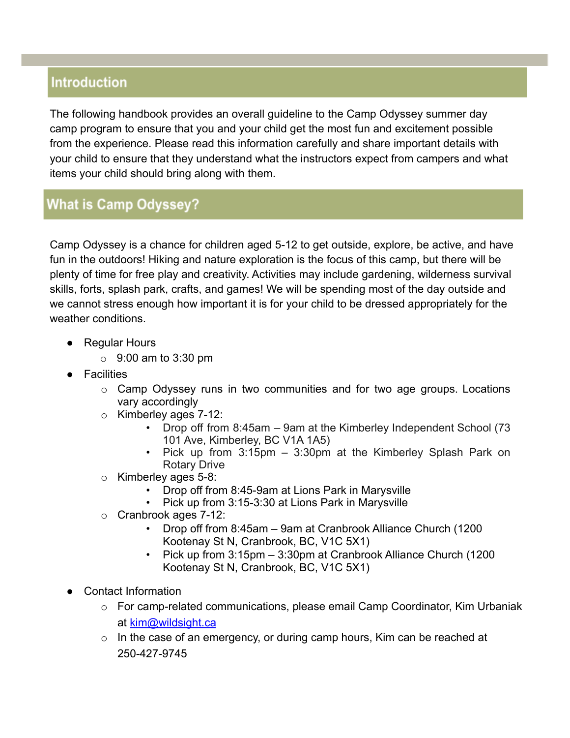## **Introduction**

The following handbook provides an overall guideline to the Camp Odyssey summer day camp program to ensure that you and your child get the most fun and excitement possible from the experience. Please read this information carefully and share important details with your child to ensure that they understand what the instructors expect from campers and what items your child should bring along with them.

## **What is Camp Odyssey?**

Camp Odyssey is a chance for children aged 5-12 to get outside, explore, be active, and have fun in the outdoors! Hiking and nature exploration is the focus of this camp, but there will be plenty of time for free play and creativity. Activities may include gardening, wilderness survival skills, forts, splash park, crafts, and games! We will be spending most of the day outside and we cannot stress enough how important it is for your child to be dressed appropriately for the weather conditions.

- Regular Hours
	- o 9:00 am to 3:30 pm
- Facilities
	- o Camp Odyssey runs in two communities and for two age groups. Locations vary accordingly
	- o Kimberley ages 7-12:
		- Drop off from 8:45am 9am at the Kimberley Independent School (73 101 Ave, Kimberley, BC V1A 1A5)
		- Pick up from 3:15pm 3:30pm at the Kimberley Splash Park on Rotary Drive
	- o Kimberley ages 5-8:
		- Drop off from 8:45-9am at Lions Park in Marysville
		- Pick up from 3:15-3:30 at Lions Park in Marysville
	- o Cranbrook ages 7-12:
		- Drop off from 8:45am 9am at Cranbrook Alliance Church (1200 Kootenay St N, Cranbrook, BC, V1C 5X1)
		- Pick up from 3:15pm 3:30pm at Cranbrook Alliance Church (1200 Kootenay St N, Cranbrook, BC, V1C 5X1)
- Contact Information
	- $\circ$  For camp-related communications, please email Camp Coordinator, Kim Urbaniak at [kim@wildsight.ca](mailto:kim@wildsight.ca)
	- o In the case of an emergency, or during camp hours, Kim can be reached at 250-427-9745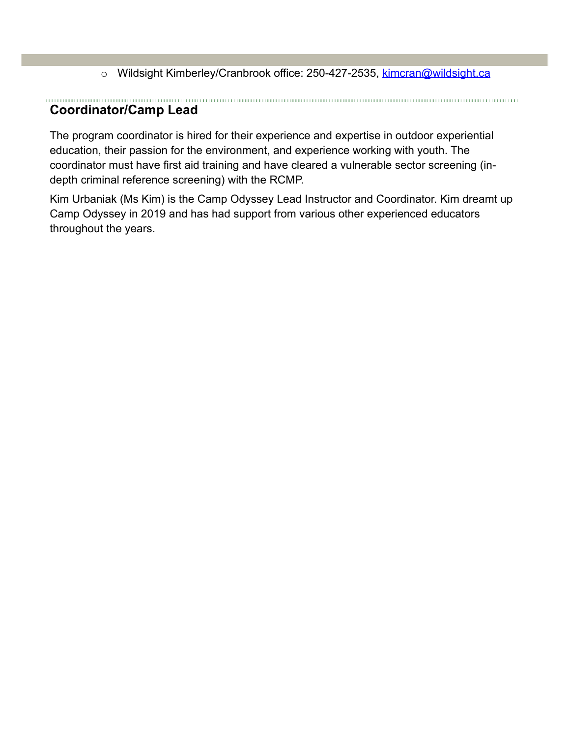o Wildsight Kimberley/Cranbrook office: 250-427-2535, [kimcran@wildsight.ca](mailto:kimcran@wildsight.ca)

#### <span id="page-3-0"></span>**Coordinator/Camp Lead**

The program coordinator is hired for their experience and expertise in outdoor experiential education, their passion for the environment, and experience working with youth. The coordinator must have first aid training and have cleared a vulnerable sector screening (indepth criminal reference screening) with the RCMP.

Kim Urbaniak (Ms Kim) is the Camp Odyssey Lead Instructor and Coordinator. Kim dreamt up Camp Odyssey in 2019 and has had support from various other experienced educators throughout the years.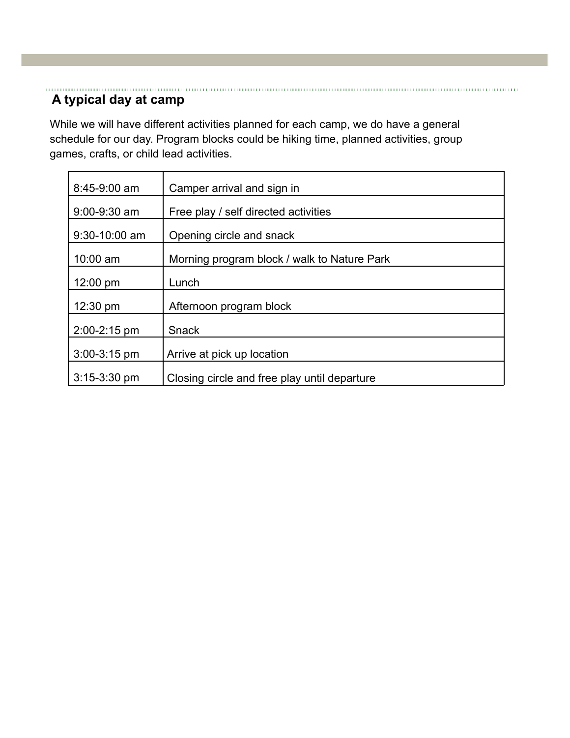#### <span id="page-4-0"></span>**A typical day at camp**

While we will have different activities planned for each camp, we do have a general schedule for our day. Program blocks could be hiking time, planned activities, group games, crafts, or child lead activities.

| 8:45-9:00 am     | Camper arrival and sign in                   |
|------------------|----------------------------------------------|
| $9:00-9:30$ am   | Free play / self directed activities         |
| 9:30-10:00 am    | Opening circle and snack                     |
| $10:00$ am       | Morning program block / walk to Nature Park  |
| 12:00 pm         | Lunch                                        |
| 12:30 pm         | Afternoon program block                      |
| 2:00-2:15 pm     | Snack                                        |
| $3:00-3:15$ pm   | Arrive at pick up location                   |
| $3:15 - 3:30$ pm | Closing circle and free play until departure |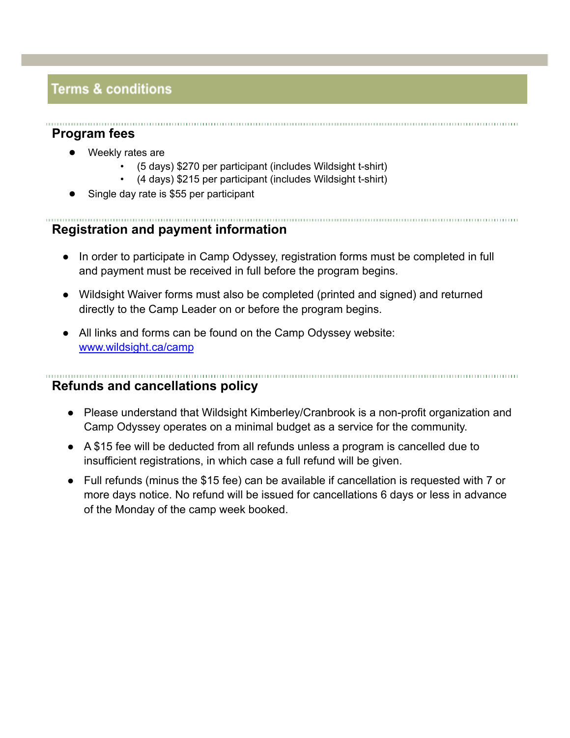# **Terms & conditions**

## <span id="page-5-0"></span>**Program fees**

- Weekly rates are
	- (5 days) \$270 per participant (includes Wildsight t-shirt)
	- (4 days) \$215 per participant (includes Wildsight t-shirt)
- Single day rate is \$55 per participant

#### <span id="page-5-1"></span>**Registration and payment information**

- In order to participate in Camp Odyssey, registration forms must be completed in full and payment must be received in full before the program begins.
- Wildsight Waiver forms must also be completed (printed and signed) and returned directly to the Camp Leader on or before the program begins.
- All links and forms can be found on the Camp Odyssey website: [www.wildsight.ca/camp](http://www.wildsight.ca/camp)

#### <span id="page-5-2"></span>**Refunds and cancellations policy**

- Please understand that Wildsight Kimberley/Cranbrook is a non-profit organization and Camp Odyssey operates on a minimal budget as a service for the community.
- A \$15 fee will be deducted from all refunds unless a program is cancelled due to insufficient registrations, in which case a full refund will be given.
- Full refunds (minus the \$15 fee) can be available if cancellation is requested with 7 or more days notice. No refund will be issued for cancellations 6 days or less in advance of the Monday of the camp week booked.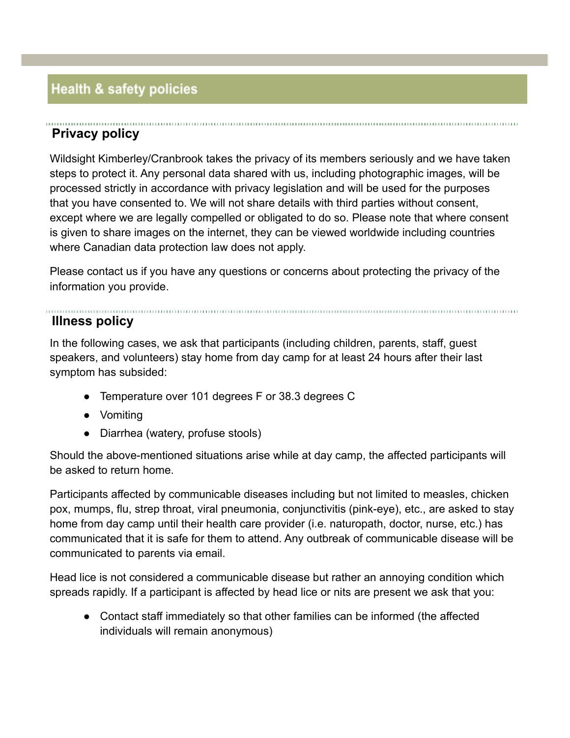# **Health & safety policies**

## <span id="page-6-0"></span>**Privacy policy**

Wildsight Kimberley/Cranbrook takes the privacy of its members seriously and we have taken steps to protect it. Any personal data shared with us, including photographic images, will be processed strictly in accordance with privacy legislation and will be used for the purposes that you have consented to. We will not share details with third parties without consent, except where we are legally compelled or obligated to do so. Please note that where consent is given to share images on the internet, they can be viewed worldwide including countries where Canadian data protection law does not apply.

Please contact us if you have any questions or concerns about protecting the privacy of the information you provide.

## <span id="page-6-1"></span>**Illness policy**

In the following cases, we ask that participants (including children, parents, staff, guest speakers, and volunteers) stay home from day camp for at least 24 hours after their last symptom has subsided:

- Temperature over 101 degrees F or 38.3 degrees C
- Vomiting
- Diarrhea (watery, profuse stools)

Should the above-mentioned situations arise while at day camp, the affected participants will be asked to return home.

Participants affected by communicable diseases including but not limited to measles, chicken pox, mumps, flu, strep throat, viral pneumonia, conjunctivitis (pink-eye), etc., are asked to stay home from day camp until their health care provider (i.e. naturopath, doctor, nurse, etc.) has communicated that it is safe for them to attend. Any outbreak of communicable disease will be communicated to parents via email.

Head lice is not considered a communicable disease but rather an annoying condition which spreads rapidly. If a participant is affected by head lice or nits are present we ask that you:

● Contact staff immediately so that other families can be informed (the affected individuals will remain anonymous)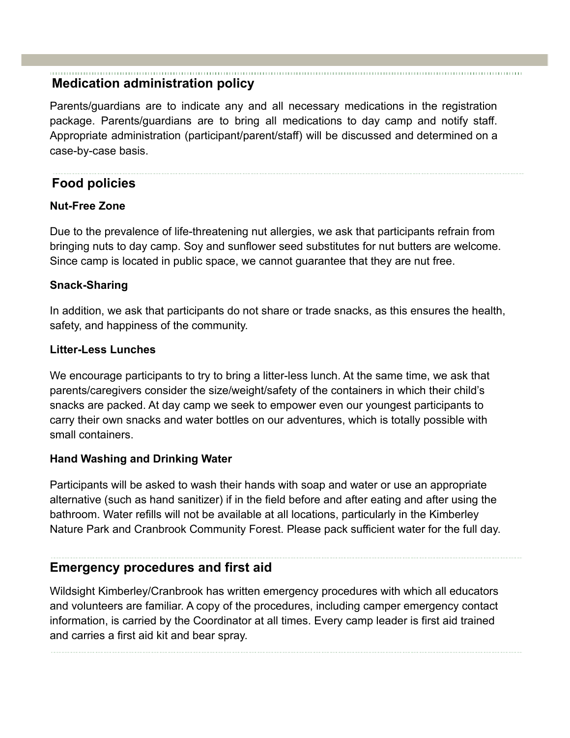## <span id="page-7-0"></span>**Medication administration policy**

Parents/guardians are to indicate any and all necessary medications in the registration package. Parents/guardians are to bring all medications to day camp and notify staff. Appropriate administration (participant/parent/staff) will be discussed and determined on a case-by-case basis.

## <span id="page-7-1"></span>**Food policies**

## **Nut-Free Zone**

Due to the prevalence of life-threatening nut allergies, we ask that participants refrain from bringing nuts to day camp. Soy and sunflower seed substitutes for nut butters are welcome. Since camp is located in public space, we cannot guarantee that they are nut free.

#### **Snack-Sharing**

In addition, we ask that participants do not share or trade snacks, as this ensures the health, safety, and happiness of the community.

#### **Litter-Less Lunches**

We encourage participants to try to bring a litter-less lunch. At the same time, we ask that parents/caregivers consider the size/weight/safety of the containers in which their child's snacks are packed. At day camp we seek to empower even our youngest participants to carry their own snacks and water bottles on our adventures, which is totally possible with small containers.

#### **Hand Washing and Drinking Water**

Participants will be asked to wash their hands with soap and water or use an appropriate alternative (such as hand sanitizer) if in the field before and after eating and after using the bathroom. Water refills will not be available at all locations, particularly in the Kimberley Nature Park and Cranbrook Community Forest. Please pack sufficient water for the full day.

## <span id="page-7-2"></span>**Emergency procedures and first aid**

Wildsight Kimberley/Cranbrook has written emergency procedures with which all educators and volunteers are familiar. A copy of the procedures, including camper emergency contact information, is carried by the Coordinator at all times. Every camp leader is first aid trained and carries a first aid kit and bear spray.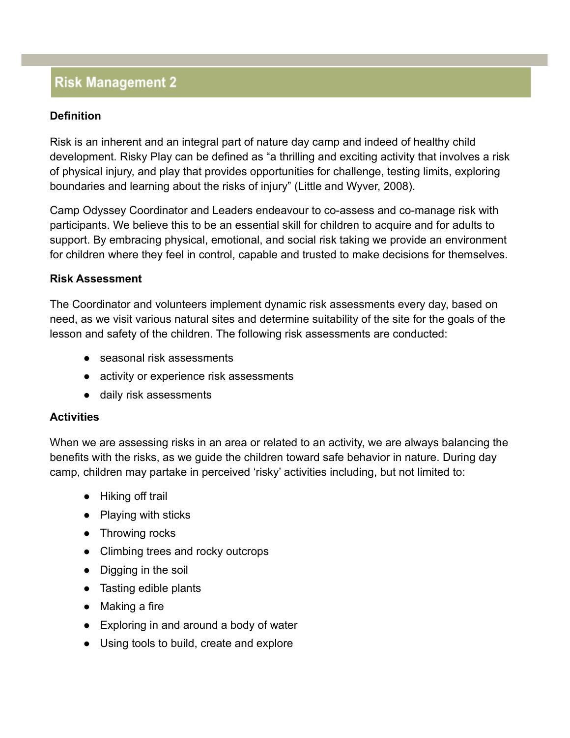## **Risk Management 2**

### **Definition**

Risk is an inherent and an integral part of nature day camp and indeed of healthy child development. Risky Play can be defined as "a thrilling and exciting activity that involves a risk of physical injury, and play that provides opportunities for challenge, testing limits, exploring boundaries and learning about the risks of injury" (Little and Wyver, 2008).

Camp Odyssey Coordinator and Leaders endeavour to co-assess and co-manage risk with participants. We believe this to be an essential skill for children to acquire and for adults to support. By embracing physical, emotional, and social risk taking we provide an environment for children where they feel in control, capable and trusted to make decisions for themselves.

#### **Risk Assessment**

The Coordinator and volunteers implement dynamic risk assessments every day, based on need, as we visit various natural sites and determine suitability of the site for the goals of the lesson and safety of the children. The following risk assessments are conducted:

- seasonal risk assessments
- activity or experience risk assessments
- daily risk assessments

#### **Activities**

When we are assessing risks in an area or related to an activity, we are always balancing the benefits with the risks, as we guide the children toward safe behavior in nature. During day camp, children may partake in perceived 'risky' activities including, but not limited to:

- Hiking off trail
- Playing with sticks
- Throwing rocks
- Climbing trees and rocky outcrops
- Digging in the soil
- Tasting edible plants
- Making a fire
- Exploring in and around a body of water
- Using tools to build, create and explore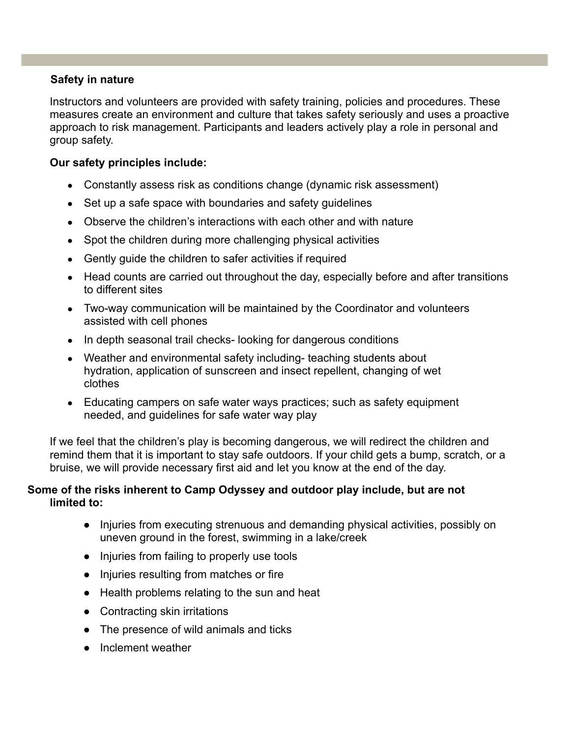#### **Safety in nature**

Instructors and volunteers are provided with safety training, policies and procedures. These measures create an environment and culture that takes safety seriously and uses a proactive approach to risk management. Participants and leaders actively play a role in personal and group safety.

#### <span id="page-9-0"></span>**Our safety principles include:**

- Constantly assess risk as conditions change (dynamic risk assessment)
- Set up a safe space with boundaries and safety guidelines
- Observe the children's interactions with each other and with nature
- Spot the children during more challenging physical activities
- Gently quide the children to safer activities if required
- Head counts are carried out throughout the day, especially before and after transitions to different sites
- Two-way communication will be maintained by the Coordinator and volunteers assisted with cell phones
- In depth seasonal trail checks-looking for dangerous conditions
- Weather and environmental safety including- teaching students about hydration, application of sunscreen and insect repellent, changing of wet clothes
- Educating campers on safe water ways practices; such as safety equipment needed, and guidelines for safe water way play

If we feel that the children's play is becoming dangerous, we will redirect the children and remind them that it is important to stay safe outdoors. If your child gets a bump, scratch, or a bruise, we will provide necessary first aid and let you know at the end of the day.

#### <span id="page-9-1"></span>**Some of the risks inherent to Camp Odyssey and outdoor play include, but are not limited to:**

- Injuries from executing strenuous and demanding physical activities, possibly on uneven ground in the forest, swimming in a lake/creek
- Injuries from failing to properly use tools
- Injuries resulting from matches or fire
- Health problems relating to the sun and heat
- Contracting skin irritations
- The presence of wild animals and ticks
- Inclement weather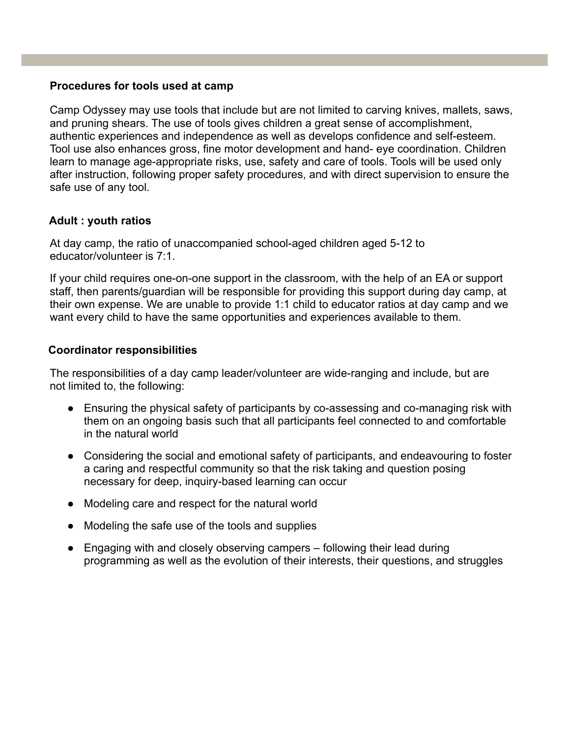#### **Procedures for tools used at camp**

Camp Odyssey may use tools that include but are not limited to carving knives, mallets, saws, and pruning shears. The use of tools gives children a great sense of accomplishment, authentic experiences and independence as well as develops confidence and self-esteem. Tool use also enhances gross, fine motor development and hand- eye coordination. Children learn to manage age-appropriate risks, use, safety and care of tools. Tools will be used only after instruction, following proper safety procedures, and with direct supervision to ensure the safe use of any tool.

#### **Adult : youth ratios**

At day camp, the ratio of unaccompanied school-aged children aged 5-12 to educator/volunteer is 7:1.

If your child requires one-on-one support in the classroom, with the help of an EA or support staff, then parents/guardian will be responsible for providing this support during day camp, at their own expense. We are unable to provide 1:1 child to educator ratios at day camp and we want every child to have the same opportunities and experiences available to them.

#### **Coordinator responsibilities**

The responsibilities of a day camp leader/volunteer are wide-ranging and include, but are not limited to, the following:

- Ensuring the physical safety of participants by co-assessing and co-managing risk with them on an ongoing basis such that all participants feel connected to and comfortable in the natural world
- Considering the social and emotional safety of participants, and endeavouring to foster a caring and respectful community so that the risk taking and question posing necessary for deep, inquiry-based learning can occur
- Modeling care and respect for the natural world
- Modeling the safe use of the tools and supplies
- Engaging with and closely observing campers following their lead during programming as well as the evolution of their interests, their questions, and struggles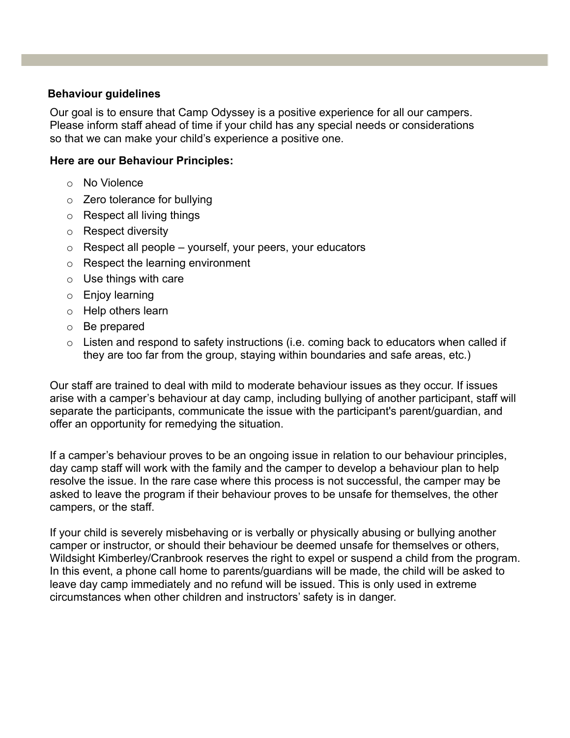#### **Behaviour guidelines**

Our goal is to ensure that Camp Odyssey is a positive experience for all our campers. Please inform staff ahead of time if your child has any special needs or considerations so that we can make your child's experience a positive one.

#### **Here are our Behaviour Principles:**

- o No Violence
- o Zero tolerance for bullying
- o Respect all living things
- o Respect diversity
- $\circ$  Respect all people yourself, your peers, your educators
- o Respect the learning environment
- $\circ$  Use things with care
- o Enjoy learning
- o Help others learn
- o Be prepared
- $\circ$  Listen and respond to safety instructions (i.e. coming back to educators when called if they are too far from the group, staying within boundaries and safe areas, etc.)

Our staff are trained to deal with mild to moderate behaviour issues as they occur. If issues arise with a camper's behaviour at day camp, including bullying of another participant, staff will separate the participants, communicate the issue with the participant's parent/guardian, and offer an opportunity for remedying the situation.

If a camper's behaviour proves to be an ongoing issue in relation to our behaviour principles, day camp staff will work with the family and the camper to develop a behaviour plan to help resolve the issue. In the rare case where this process is not successful, the camper may be asked to leave the program if their behaviour proves to be unsafe for themselves, the other campers, or the staff.

If your child is severely misbehaving or is verbally or physically abusing or bullying another camper or instructor, or should their behaviour be deemed unsafe for themselves or others, Wildsight Kimberley/Cranbrook reserves the right to expel or suspend a child from the program. In this event, a phone call home to parents/guardians will be made, the child will be asked to leave day camp immediately and no refund will be issued. This is only used in extreme circumstances when other children and instructors' safety is in danger.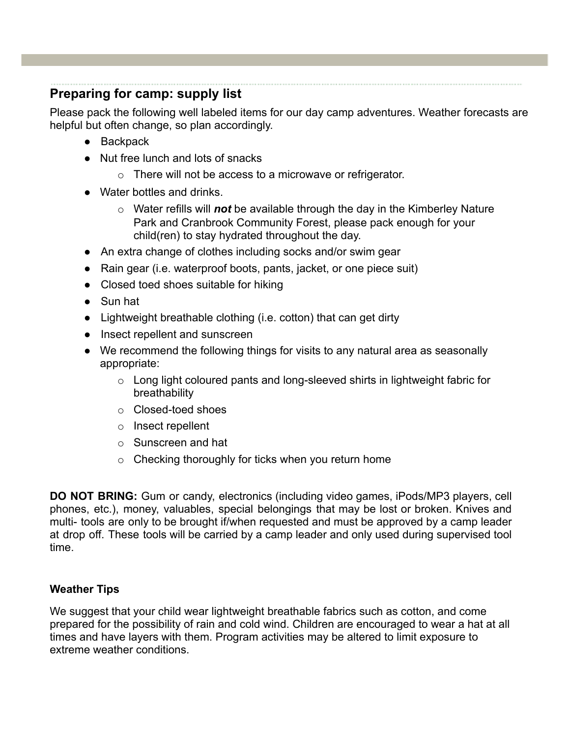## <span id="page-12-0"></span>**Preparing for camp: supply list**

Please pack the following well labeled items for our day camp adventures. Weather forecasts are helpful but often change, so plan accordingly.

- Backpack
- Nut free lunch and lots of snacks
	- o There will not be access to a microwave or refrigerator.
- Water bottles and drinks.
	- o Water refills will *not* be available through the day in the Kimberley Nature Park and Cranbrook Community Forest, please pack enough for your child(ren) to stay hydrated throughout the day.
- An extra change of clothes including socks and/or swim gear
- Rain gear (i.e. waterproof boots, pants, jacket, or one piece suit)
- Closed toed shoes suitable for hiking
- Sun hat
- Lightweight breathable clothing (i.e. cotton) that can get dirty
- Insect repellent and sunscreen
- We recommend the following things for visits to any natural area as seasonally appropriate:
	- o Long light coloured pants and long-sleeved shirts in lightweight fabric for breathability
	- o Closed-toed shoes
	- o Insect repellent
	- o Sunscreen and hat
	- o Checking thoroughly for ticks when you return home

**DO NOT BRING:** Gum or candy, electronics (including video games, iPods/MP3 players, cell phones, etc.), money, valuables, special belongings that may be lost or broken. Knives and multi- tools are only to be brought if/when requested and must be approved by a camp leader at drop off. These tools will be carried by a camp leader and only used during supervised tool time.

#### **Weather Tips**

We suggest that your child wear lightweight breathable fabrics such as cotton, and come prepared for the possibility of rain and cold wind. Children are encouraged to wear a hat at all times and have layers with them. Program activities may be altered to limit exposure to extreme weather conditions.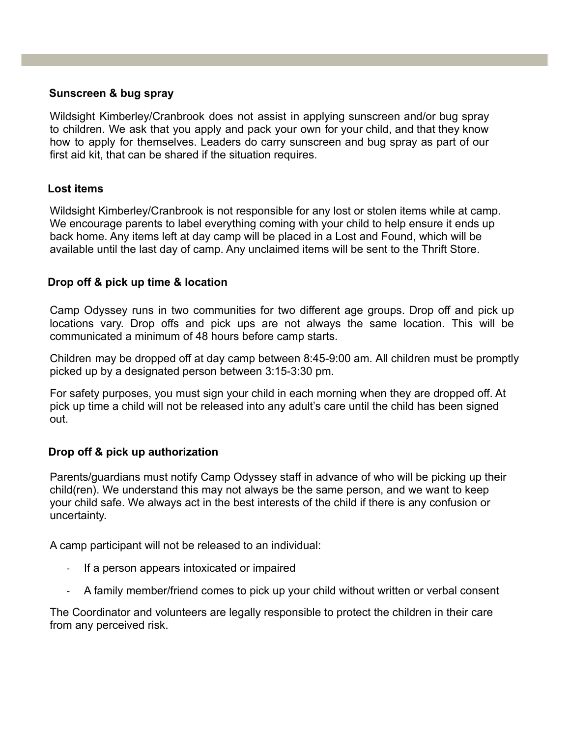#### **Sunscreen & bug spray**

Wildsight Kimberley/Cranbrook does not assist in applying sunscreen and/or bug spray to children. We ask that you apply and pack your own for your child, and that they know how to apply for themselves. Leaders do carry sunscreen and bug spray as part of our first aid kit, that can be shared if the situation requires.

#### **Lost items**

Wildsight Kimberley/Cranbrook is not responsible for any lost or stolen items while at camp. We encourage parents to label everything coming with your child to help ensure it ends up back home. Any items left at day camp will be placed in a Lost and Found, which will be available until the last day of camp. Any unclaimed items will be sent to the Thrift Store.

#### **Drop off & pick up time & location**

Camp Odyssey runs in two communities for two different age groups. Drop off and pick up locations vary. Drop offs and pick ups are not always the same location. This will be communicated a minimum of 48 hours before camp starts.

Children may be dropped off at day camp between 8:45-9:00 am. All children must be promptly picked up by a designated person between 3:15-3:30 pm.

For safety purposes, you must sign your child in each morning when they are dropped off. At pick up time a child will not be released into any adult's care until the child has been signed out.

#### **Drop off & pick up authorization**

Parents/guardians must notify Camp Odyssey staff in advance of who will be picking up their child(ren). We understand this may not always be the same person, and we want to keep your child safe. We always act in the best interests of the child if there is any confusion or uncertainty.

A camp participant will not be released to an individual:

- If a person appears intoxicated or impaired
- A family member/friend comes to pick up your child without written or verbal consent

The Coordinator and volunteers are legally responsible to protect the children in their care from any perceived risk.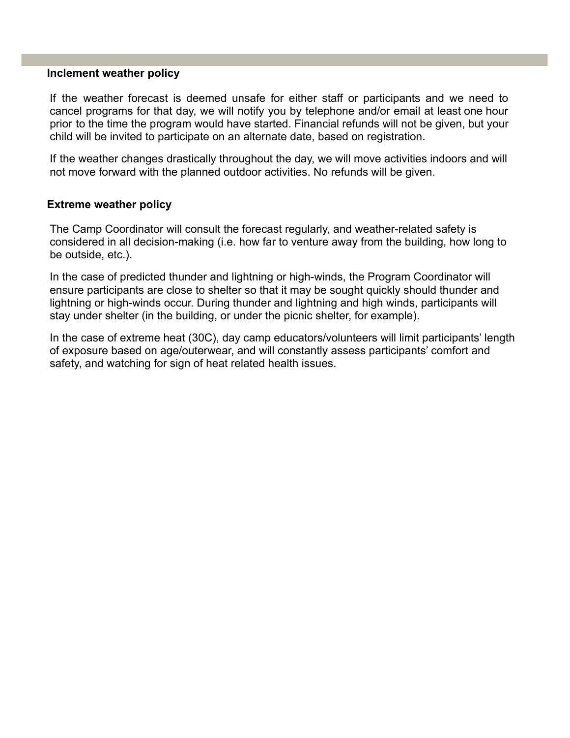#### **Inclement weather policy**

If the weather forecast is deemed unsafe for either staff or participants and we need to cancel programs for that day, we will notify you by telephone and/or email at least one hour prior to the time the program would have started. Financial refunds will not be given, but your child will be invited to participate on an alternate date, based on registration.

If the weather changes drastically throughout the day, we will move activities indoors and will not move forward with the planned outdoor activities. No refunds will be given.

#### **Extreme weather policy**

The Camp Coordinator will consult the forecast regularly, and weather-related safety is considered in all decision-making (i.e. how far to venture away from the building, how long to be outside, etc.).

In the case of predicted thunder and lightning or high-winds, the Program Coordinator will ensure participants are close to shelter so that it may be sought quickly should thunder and lightning or high-winds occur. During thunder and lightning and high winds, participants will stay under shelter (in the building, or under the picnic shelter, for example).

In the case of extreme heat (30C), day camp educators/volunteers will limit participants' length of exposure based on age/outerwear, and will constantly assess participants' comfort and safety, and watching for sign of heat related health issues.